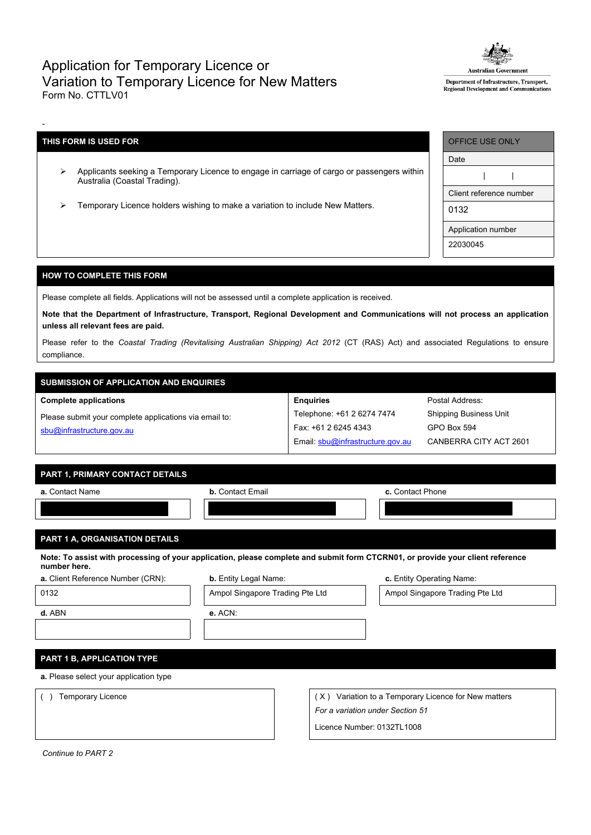## Application for Temporary Licence or Variation to Temporary Licence for New Matters Form No. CTTLV01



Department of Infrastructure, Transport, Regional Development and Communicati

## **THIS FORM IS USED FOR**

-

- Applicants seeking a Temporary Licence to engage in carriage of cargo or passengers within Australia (Coastal Trading).
- Temporary Licence holders wishing to make a variation to include New Matters.

| <b>OFFICE USE ONLY</b>  |  |  |  |  |  |  |
|-------------------------|--|--|--|--|--|--|
| Date                    |  |  |  |  |  |  |
|                         |  |  |  |  |  |  |
| Client reference number |  |  |  |  |  |  |
| 0132                    |  |  |  |  |  |  |
| Application number      |  |  |  |  |  |  |
| 22030045                |  |  |  |  |  |  |

#### **HOW TO COMPLETE THIS FORM**

Please complete all fields. Applications will not be assessed until a complete application is received.

Note that the Department of Infrastructure, Transport, Regional Development and Communications will not process an application **unless all relevant fees are paid.**

Please refer to the *Coastal Trading (Revitalising Australian Shipping) Act 2012* (CT (RAS) Act) and associated Regulations to ensure compliance.

# **SUBMISSION OF APPLICATION AND ENQUIRIES**

#### **Complete applications**

Please submit your complete applications via email to: [sbu@infrastructure.gov.au](mailto:sbu@infrastructure.gov.au)

| <b>Enquiries</b>                 |
|----------------------------------|
| Telephone: +61 2 6274 7474       |
| Fax: +61 2 6245 4343             |
| Email: sbu@infrastructure.gov.au |

Postal Address: Shipping Business Unit GPO Box 594 CANBERRA CITY ACT 2601

### **PART 1, PRIMARY CONTACT DETAILS**

| a. Contact Name | <b>b.</b> Contact Email | c. Contact Phone |
|-----------------|-------------------------|------------------|
|                 |                         |                  |
|                 |                         |                  |

## **PART 1 A, ORGANISATION DETAILS**

Note: To assist with processing of your application, please complete and submit form CTCRN01, or provide your client reference **number here.**

|  | a. Client Reference Number (CRN |  |  |  |  |  |  |  |
|--|---------------------------------|--|--|--|--|--|--|--|
|--|---------------------------------|--|--|--|--|--|--|--|

**b.** Entity Legal Name: **b.** Entity Legal Name: **c.** Entity Operating Name:

0132 **Ampol Singapore Trading Pte Ltd** Ampol Singapore Trading Pte Ltd Ampol Singapore Trading Pte Ltd

**d.** ABN **e.** ACN:

**PART 1 B, APPLICATION TYPE**

**a.** Please select your application type

() Temporary Licence ( X) Variation to a Temporary Licence for New matters *For a variation under Section 51*

Licence Number: 0132TL1008

*Continue to PART 2*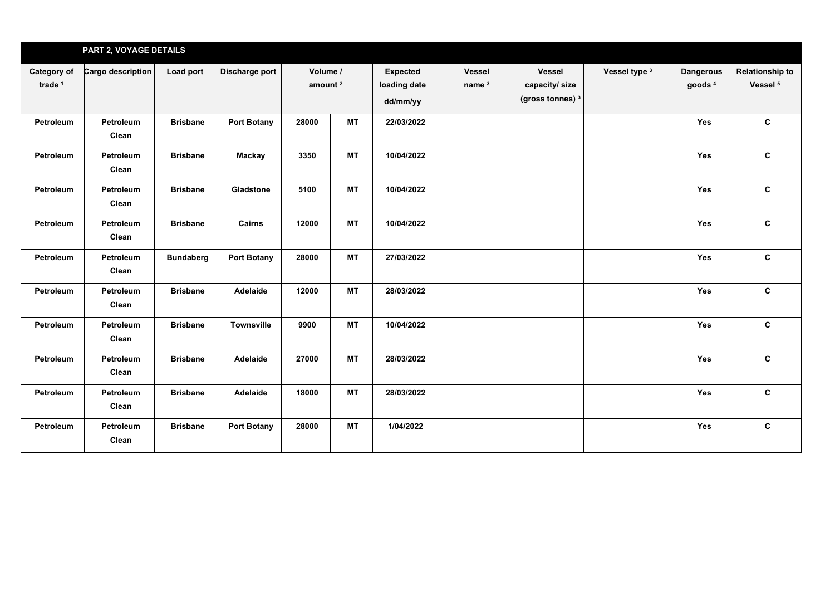|                                   | PART 2, VOYAGE DETAILS |                  |                    |                                 |           |                                             |                                    |                                                               |               |                                        |                                               |
|-----------------------------------|------------------------|------------------|--------------------|---------------------------------|-----------|---------------------------------------------|------------------------------------|---------------------------------------------------------------|---------------|----------------------------------------|-----------------------------------------------|
| Category of<br>trade <sup>1</sup> | Cargo description      | Load port        | Discharge port     | Volume /<br>amount <sup>2</sup> |           | <b>Expected</b><br>loading date<br>dd/mm/yy | <b>Vessel</b><br>name <sup>3</sup> | <b>Vessel</b><br>capacity/size<br>(gross tonnes) <sup>3</sup> | Vessel type 3 | <b>Dangerous</b><br>goods <sup>4</sup> | <b>Relationship to</b><br>Vessel <sup>5</sup> |
| Petroleum                         | Petroleum<br>Clean     | <b>Brisbane</b>  | <b>Port Botany</b> | 28000                           | <b>MT</b> | 22/03/2022                                  |                                    |                                                               |               | Yes                                    | $\mathbf{C}$                                  |
| Petroleum                         | Petroleum<br>Clean     | <b>Brisbane</b>  | <b>Mackay</b>      | 3350                            | <b>MT</b> | 10/04/2022                                  |                                    |                                                               |               | <b>Yes</b>                             | $\mathbf c$                                   |
| Petroleum                         | Petroleum<br>Clean     | <b>Brisbane</b>  | Gladstone          | 5100                            | <b>MT</b> | 10/04/2022                                  |                                    |                                                               |               | Yes                                    | $\mathbf{c}$                                  |
| Petroleum                         | Petroleum<br>Clean     | <b>Brisbane</b>  | Cairns             | 12000                           | <b>MT</b> | 10/04/2022                                  |                                    |                                                               |               | Yes                                    | $\mathbf{c}$                                  |
| Petroleum                         | Petroleum<br>Clean     | <b>Bundaberg</b> | <b>Port Botany</b> | 28000                           | <b>MT</b> | 27/03/2022                                  |                                    |                                                               |               | <b>Yes</b>                             | C                                             |
| Petroleum                         | Petroleum<br>Clean     | <b>Brisbane</b>  | Adelaide           | 12000                           | <b>MT</b> | 28/03/2022                                  |                                    |                                                               |               | Yes                                    | $\mathbf c$                                   |
| Petroleum                         | Petroleum<br>Clean     | <b>Brisbane</b>  | <b>Townsville</b>  | 9900                            | <b>MT</b> | 10/04/2022                                  |                                    |                                                               |               | Yes                                    | C                                             |
| Petroleum                         | Petroleum<br>Clean     | <b>Brisbane</b>  | Adelaide           | 27000                           | <b>MT</b> | 28/03/2022                                  |                                    |                                                               |               | Yes                                    | $\mathbf c$                                   |
| Petroleum                         | Petroleum<br>Clean     | <b>Brisbane</b>  | Adelaide           | 18000                           | <b>MT</b> | 28/03/2022                                  |                                    |                                                               |               | <b>Yes</b>                             | $\mathbf{c}$                                  |
| Petroleum                         | Petroleum<br>Clean     | <b>Brisbane</b>  | <b>Port Botany</b> | 28000                           | <b>MT</b> | 1/04/2022                                   |                                    |                                                               |               | Yes                                    | $\mathbf{C}$                                  |